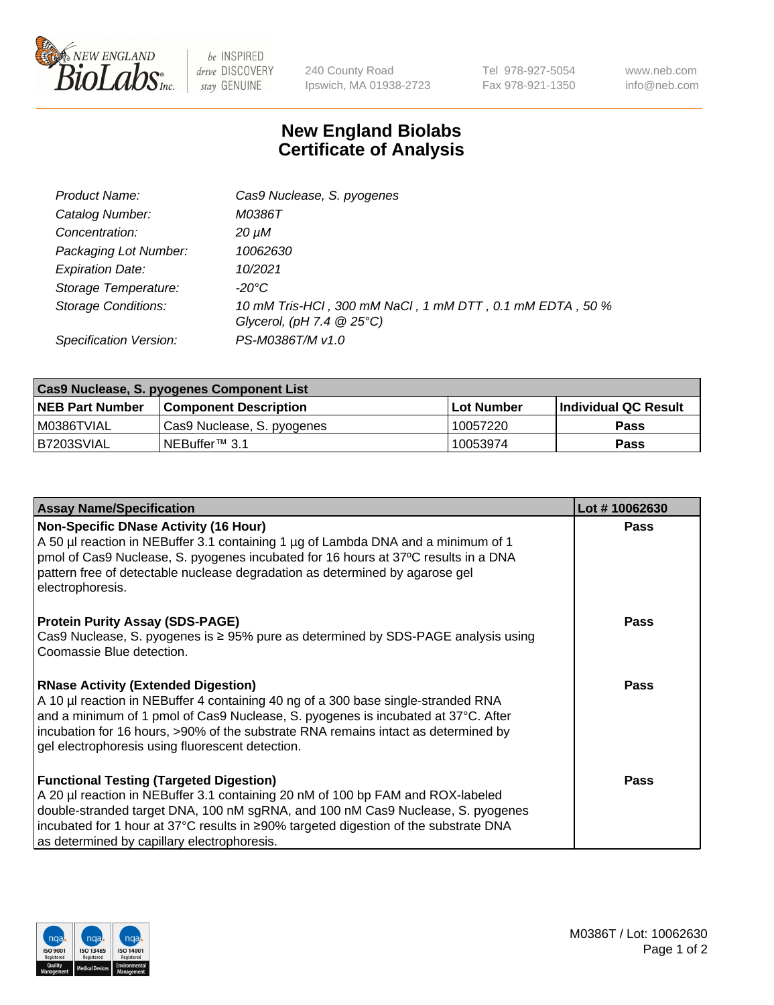

 $be$  INSPIRED drive DISCOVERY stay GENUINE

240 County Road Ipswich, MA 01938-2723 Tel 978-927-5054 Fax 978-921-1350 www.neb.com info@neb.com

## **New England Biolabs Certificate of Analysis**

| Product Name:              | Cas9 Nuclease, S. pyogenes                                                              |
|----------------------------|-----------------------------------------------------------------------------------------|
| Catalog Number:            | M0386T                                                                                  |
| Concentration:             | 20 µM                                                                                   |
| Packaging Lot Number:      | 10062630                                                                                |
| <b>Expiration Date:</b>    | 10/2021                                                                                 |
| Storage Temperature:       | -20°C                                                                                   |
| <b>Storage Conditions:</b> | 10 mM Tris-HCl, 300 mM NaCl, 1 mM DTT, 0.1 mM EDTA, 50 %<br>Glycerol, (pH 7.4 $@25°C$ ) |
|                            |                                                                                         |
| Specification Version:     | PS-M0386T/M v1.0                                                                        |

| Cas9 Nuclease, S. pyogenes Component List |                              |                   |                      |  |
|-------------------------------------------|------------------------------|-------------------|----------------------|--|
| <b>NEB Part Number</b>                    | <b>Component Description</b> | <b>Lot Number</b> | Individual QC Result |  |
| I M0386TVIAL                              | Cas9 Nuclease, S. pyogenes   | 10057220          | <b>Pass</b>          |  |
| B7203SVIAL                                | INEBuffer™ 3.1               | 10053974          | <b>Pass</b>          |  |

| <b>Assay Name/Specification</b>                                                                                                                                                                                                                                                                                                                                | Lot #10062630 |
|----------------------------------------------------------------------------------------------------------------------------------------------------------------------------------------------------------------------------------------------------------------------------------------------------------------------------------------------------------------|---------------|
| <b>Non-Specific DNase Activity (16 Hour)</b><br>A 50 µl reaction in NEBuffer 3.1 containing 1 µg of Lambda DNA and a minimum of 1<br>pmol of Cas9 Nuclease, S. pyogenes incubated for 16 hours at 37°C results in a DNA<br>pattern free of detectable nuclease degradation as determined by agarose gel<br>electrophoresis.                                    | <b>Pass</b>   |
| <b>Protein Purity Assay (SDS-PAGE)</b><br>Cas9 Nuclease, S. pyogenes is ≥ 95% pure as determined by SDS-PAGE analysis using<br>Coomassie Blue detection.                                                                                                                                                                                                       | <b>Pass</b>   |
| <b>RNase Activity (Extended Digestion)</b><br>A 10 µl reaction in NEBuffer 4 containing 40 ng of a 300 base single-stranded RNA<br>and a minimum of 1 pmol of Cas9 Nuclease, S. pyogenes is incubated at 37°C. After<br>incubation for 16 hours, >90% of the substrate RNA remains intact as determined by<br>gel electrophoresis using fluorescent detection. | <b>Pass</b>   |
| <b>Functional Testing (Targeted Digestion)</b><br>A 20 µl reaction in NEBuffer 3.1 containing 20 nM of 100 bp FAM and ROX-labeled<br>double-stranded target DNA, 100 nM sgRNA, and 100 nM Cas9 Nuclease, S. pyogenes<br>incubated for 1 hour at 37°C results in ≥90% targeted digestion of the substrate DNA<br>as determined by capillary electrophoresis.    | <b>Pass</b>   |